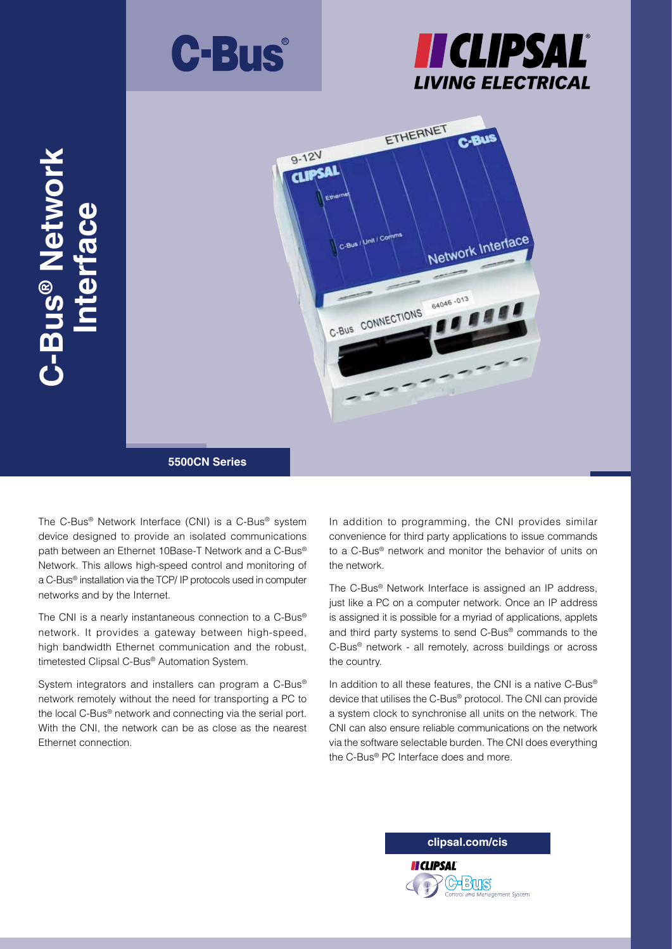





The C-Bus® Network Interface (CNI) is a C-Bus® system device designed to provide an isolated communications path between an Ethernet 10Base-T Network and a C-Bus® Network. This allows high-speed control and monitoring of a C-Bus® installation via the TCP/ IP protocols used in computer networks and by the Internet.

The CNI is a nearly instantaneous connection to a C-Bus® network. It provides a gateway between high-speed, high bandwidth Ethernet communication and the robust, timetested Clipsal C-Bus® Automation System.

System integrators and installers can program a C-Bus® network remotely without the need for transporting a PC to the local C-Bus® network and connecting via the serial port. With the CNI, the network can be as close as the nearest Ethernet connection.

In addition to programming, the CNI provides similar convenience for third party applications to issue commands to a C-Bus® network and monitor the behavior of units on the network.

The C-Bus® Network Interface is assigned an IP address, just like a PC on a computer network. Once an IP address is assigned it is possible for a myriad of applications, applets and third party systems to send C-Bus® commands to the C-Bus® network - all remotely, across buildings or across the country.

In addition to all these features, the CNI is a native C-Bus® device that utilises the C-Bus® protocol. The CNI can provide a system clock to synchronise all units on the network. The CNI can also ensure reliable communications on the network via the software selectable burden. The CNI does everything the C-Bus® PC Interface does and more.

**clipsal.com/cis**

13년대

**II CLIPSAL**